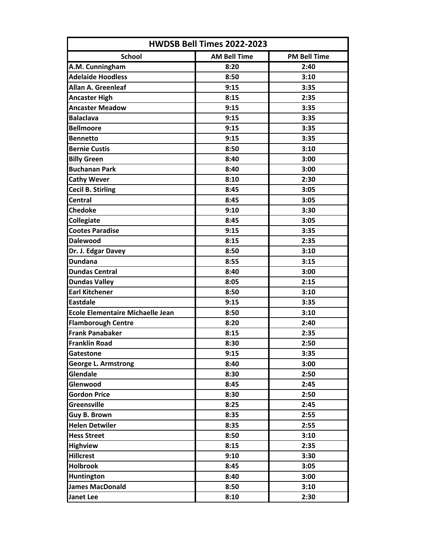| HWDSB Bell Times 2022-2023              |                     |                     |  |
|-----------------------------------------|---------------------|---------------------|--|
| <b>School</b>                           | <b>AM Bell Time</b> | <b>PM Bell Time</b> |  |
| A.M. Cunningham                         | 8:20                | 2:40                |  |
| <b>Adelaide Hoodless</b>                | 8:50                | 3:10                |  |
| <b>Allan A. Greenleaf</b>               | 9:15                | 3:35                |  |
| <b>Ancaster High</b>                    | 8:15                | 2:35                |  |
| <b>Ancaster Meadow</b>                  | 9:15                | 3:35                |  |
| <b>Balaclava</b>                        | 9:15                | 3:35                |  |
| <b>Bellmoore</b>                        | 9:15                | 3:35                |  |
| <b>Bennetto</b>                         | 9:15                | 3:35                |  |
| <b>Bernie Custis</b>                    | 8:50                | 3:10                |  |
| <b>Billy Green</b>                      | 8:40                | 3:00                |  |
| <b>Buchanan Park</b>                    | 8:40                | 3:00                |  |
| <b>Cathy Wever</b>                      | 8:10                | 2:30                |  |
| <b>Cecil B. Stirling</b>                | 8:45                | 3:05                |  |
| <b>Central</b>                          | 8:45                | 3:05                |  |
| <b>Chedoke</b>                          | 9:10                | 3:30                |  |
| Collegiate                              | 8:45                | 3:05                |  |
| <b>Cootes Paradise</b>                  | 9:15                | 3:35                |  |
| <b>Dalewood</b>                         | 8:15                | 2:35                |  |
| Dr. J. Edgar Davey                      | 8:50                | 3:10                |  |
| <b>Dundana</b>                          | 8:55                | 3:15                |  |
| <b>Dundas Central</b>                   | 8:40                | 3:00                |  |
| <b>Dundas Valley</b>                    | 8:05                | 2:15                |  |
| <b>Earl Kitchener</b>                   | 8:50                | 3:10                |  |
| <b>Eastdale</b>                         | 9:15                | 3:35                |  |
| <b>Ecole Elementaire Michaelle Jean</b> | 8:50                | 3:10                |  |
| <b>Flamborough Centre</b>               | 8:20                | 2:40                |  |
| <b>Frank Panabaker</b>                  | 8:15                | 2:35                |  |
| <b>Franklin Road</b>                    | 8:30                | 2:50                |  |
| Gatestone                               | 9:15                | 3:35                |  |
| <b>George L. Armstrong</b>              | 8:40                | 3:00                |  |
| Glendale                                | 8:30                | 2:50                |  |
| Glenwood                                | 8:45                | 2:45                |  |
| <b>Gordon Price</b>                     | 8:30                | 2:50                |  |
| <b>Greensville</b>                      | 8:25                | 2:45                |  |
| Guy B. Brown                            | 8:35                | 2:55                |  |
| <b>Helen Detwiler</b>                   | 8:35                | 2:55                |  |
| <b>Hess Street</b>                      | 8:50                | 3:10                |  |
| <b>Highview</b>                         | 8:15                | 2:35                |  |
| <b>Hillcrest</b>                        | 9:10                | 3:30                |  |
| <b>Holbrook</b>                         | 8:45                | 3:05                |  |
| <b>Huntington</b>                       | 8:40                | 3:00                |  |
| <b>James MacDonald</b>                  | 8:50                | 3:10                |  |
| <b>Janet Lee</b>                        | 8:10                | 2:30                |  |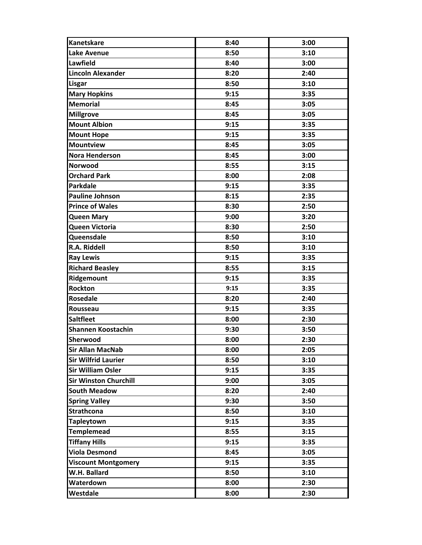| <b>Kanetskare</b>            | 8:40 | 3:00 |
|------------------------------|------|------|
| <b>Lake Avenue</b>           | 8:50 | 3:10 |
| Lawfield                     | 8:40 | 3:00 |
| <b>Lincoln Alexander</b>     | 8:20 | 2:40 |
| <b>Lisgar</b>                | 8:50 | 3:10 |
| <b>Mary Hopkins</b>          | 9:15 | 3:35 |
| <b>Memorial</b>              | 8:45 | 3:05 |
| <b>Millgrove</b>             | 8:45 | 3:05 |
| <b>Mount Albion</b>          | 9:15 | 3:35 |
| <b>Mount Hope</b>            | 9:15 | 3:35 |
| <b>Mountview</b>             | 8:45 | 3:05 |
| <b>Nora Henderson</b>        | 8:45 | 3:00 |
| Norwood                      | 8:55 | 3:15 |
| <b>Orchard Park</b>          | 8:00 | 2:08 |
| <b>Parkdale</b>              | 9:15 | 3:35 |
| <b>Pauline Johnson</b>       | 8:15 | 2:35 |
| <b>Prince of Wales</b>       | 8:30 | 2:50 |
| <b>Queen Mary</b>            | 9:00 | 3:20 |
| Queen Victoria               | 8:30 | 2:50 |
| Queensdale                   | 8:50 | 3:10 |
| <b>R.A. Riddell</b>          | 8:50 | 3:10 |
| <b>Ray Lewis</b>             | 9:15 | 3:35 |
| <b>Richard Beasley</b>       | 8:55 | 3:15 |
| Ridgemount                   | 9:15 | 3:35 |
| Rockton                      | 9:15 | 3:35 |
| <b>Rosedale</b>              | 8:20 | 2:40 |
| Rousseau                     | 9:15 | 3:35 |
| <b>Saltfleet</b>             | 8:00 | 2:30 |
| <b>Shannen Koostachin</b>    | 9:30 | 3:50 |
| <b>Sherwood</b>              | 8:00 | 2:30 |
| <b>Sir Allan MacNab</b>      | 8:00 | 2:05 |
| <b>Sir Wilfrid Laurier</b>   | 8:50 | 3:10 |
| <b>Sir William Osler</b>     | 9:15 | 3:35 |
| <b>Sir Winston Churchill</b> | 9:00 | 3:05 |
| <b>South Meadow</b>          | 8:20 | 2:40 |
| <b>Spring Valley</b>         | 9:30 | 3:50 |
| <b>Strathcona</b>            | 8:50 | 3:10 |
| <b>Tapleytown</b>            | 9:15 | 3:35 |
| <b>Templemead</b>            | 8:55 | 3:15 |
| <b>Tiffany Hills</b>         | 9:15 | 3:35 |
| <b>Viola Desmond</b>         | 8:45 | 3:05 |
| <b>Viscount Montgomery</b>   | 9:15 | 3:35 |
| W.H. Ballard                 | 8:50 | 3:10 |
| Waterdown                    | 8:00 | 2:30 |
| Westdale                     | 8:00 | 2:30 |